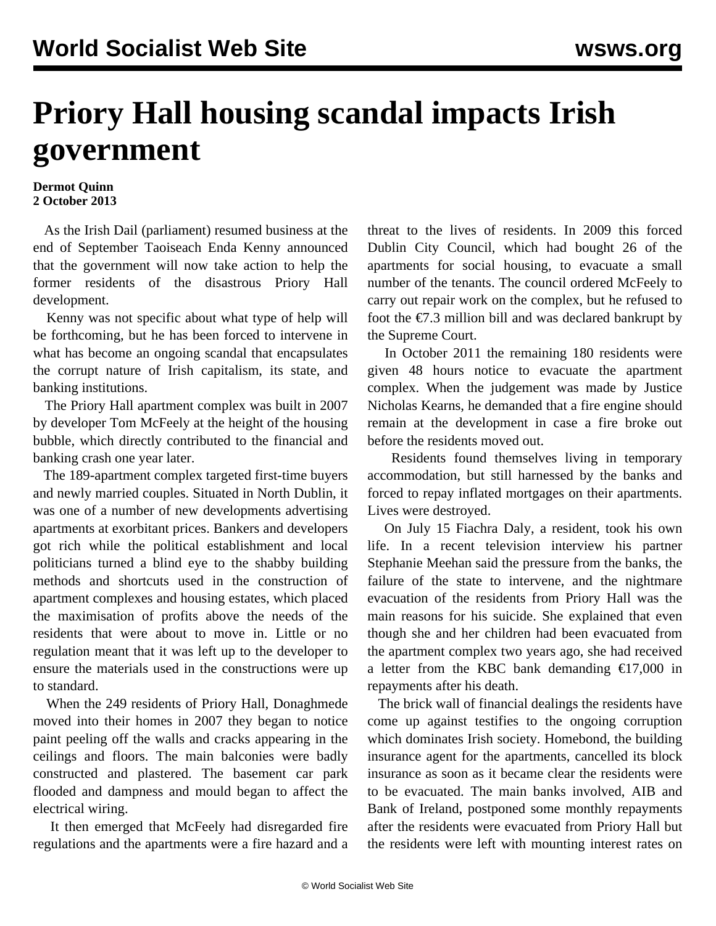## **Priory Hall housing scandal impacts Irish government**

## **Dermot Quinn 2 October 2013**

 As the Irish Dail (parliament) resumed business at the end of September Taoiseach Enda Kenny announced that the government will now take action to help the former residents of the disastrous Priory Hall development.

 Kenny was not specific about what type of help will be forthcoming, but he has been forced to intervene in what has become an ongoing scandal that encapsulates the corrupt nature of Irish capitalism, its state, and banking institutions.

 The Priory Hall apartment complex was built in 2007 by developer Tom McFeely at the height of the housing bubble, which directly contributed to the financial and banking crash one year later.

 The 189-apartment complex targeted first-time buyers and newly married couples. Situated in North Dublin, it was one of a number of new developments advertising apartments at exorbitant prices. Bankers and developers got rich while the political establishment and local politicians turned a blind eye to the shabby building methods and shortcuts used in the construction of apartment complexes and housing estates, which placed the maximisation of profits above the needs of the residents that were about to move in. Little or no regulation meant that it was left up to the developer to ensure the materials used in the constructions were up to standard.

 When the 249 residents of Priory Hall, Donaghmede moved into their homes in 2007 they began to notice paint peeling off the walls and cracks appearing in the ceilings and floors. The main balconies were badly constructed and plastered. The basement car park flooded and dampness and mould began to affect the electrical wiring.

 It then emerged that McFeely had disregarded fire regulations and the apartments were a fire hazard and a threat to the lives of residents. In 2009 this forced Dublin City Council, which had bought 26 of the apartments for social housing, to evacuate a small number of the tenants. The council ordered McFeely to carry out repair work on the complex, but he refused to foot the  $\epsilon$ 7.3 million bill and was declared bankrupt by the [Supreme Court](http://www.thejournal.ie/priory-hall-developer-tom-mcfeely-declared-bankrupt-538207-Jul2012/).

 In October 2011 the remaining 180 residents were given 48 hours notice to evacuate the apartment complex. When the judgement was made by Justice Nicholas Kearns, he demanded that a fire engine should remain at the development in case a fire broke out before the residents moved out.

 Residents found themselves living in temporary accommodation, but still harnessed by the banks and forced to repay inflated mortgages on their apartments. Lives were destroyed.

 On July 15 Fiachra Daly, a resident, took his own life. In a recent television interview his partner Stephanie Meehan said the pressure from the banks, the failure of the state to intervene, and the nightmare evacuation of the residents from Priory Hall was the main reasons for his suicide. She explained that even though she and her children had been evacuated from the apartment complex two years ago, she had received a letter from the KBC bank demanding  $\epsilon$ 17,000 in repayments after his death.

 The brick wall of financial dealings the residents have come up against testifies to the ongoing corruption which dominates Irish society. Homebond, the building insurance agent for the apartments, cancelled its block insurance as soon as it became clear the residents were to be evacuated. The main banks involved, AIB and Bank of Ireland, postponed some monthly repayments after the residents were evacuated from Priory Hall but the residents were left with mounting interest rates on